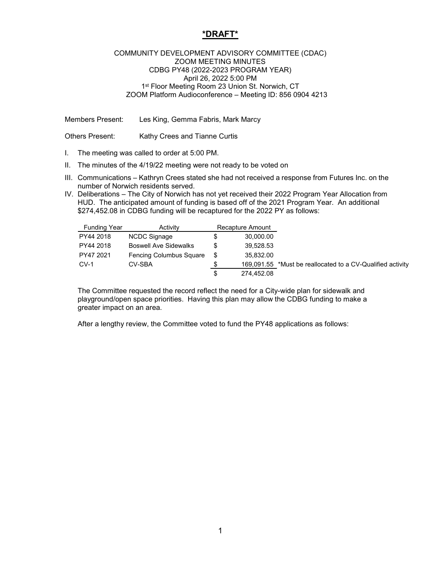## **\*DRAFT\***

## COMMUNITY DEVELOPMENT ADVISORY COMMITTEE (CDAC) ZOOM MEETING MINUTES CDBG PY48 (2022-2023 PROGRAM YEAR) April 26, 2022 5:00 PM 1<sup>st</sup> Floor Meeting Room 23 Union St. Norwich, CT ZOOM Platform Audioconference – Meeting ID: 856 0904 4213

Members Present: Les King, Gemma Fabris, Mark Marcy

Others Present: Kathy Crees and Tianne Curtis

- I. The meeting was called to order at 5:00 PM.
- II. The minutes of the 4/19/22 meeting were not ready to be voted on
- III. Communications Kathryn Crees stated she had not received a response from Futures Inc. on the number of Norwich residents served.
- IV. Deliberations The City of Norwich has not yet received their 2022 Program Year Allocation from HUD. The anticipated amount of funding is based off of the 2021 Program Year. An additional \$274,452.08 in CDBG funding will be recaptured for the 2022 PY as follows:

| <b>Funding Year</b> | Activity                     | Recapture Amount |            |                                                            |
|---------------------|------------------------------|------------------|------------|------------------------------------------------------------|
| PY44 2018           | NCDC Signage                 | S                | 30,000.00  |                                                            |
| PY44 2018           | <b>Boswell Ave Sidewalks</b> | S                | 39,528.53  |                                                            |
| PY47 2021           | Fencing Columbus Square      |                  | 35,832.00  |                                                            |
| $CV-1$              | CV-SBA                       |                  |            | 169,091.55 *Must be reallocated to a CV-Qualified activity |
|                     |                              | S                | 274.452.08 |                                                            |

The Committee requested the record reflect the need for a City-wide plan for sidewalk and playground/open space priorities. Having this plan may allow the CDBG funding to make a greater impact on an area.

After a lengthy review, the Committee voted to fund the PY48 applications as follows: